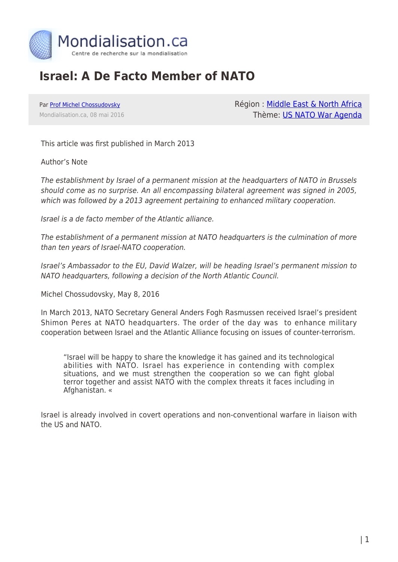

## **Israel: A De Facto Member of NATO**

Par [Prof Michel Chossudovsky](https://www.mondialisation.ca/author/michel-chossudovsky) Mondialisation.ca, 08 mai 2016 Région : [Middle East & North Africa](https://www.mondialisation.ca/region/middle-east) Thème: [US NATO War Agenda](https://www.mondialisation.ca/theme/us-nato-war-agenda)

This article was first published in March 2013

Author's Note

The establishment by Israel of a permanent mission at the headquarters of NATO in Brussels should come as no surprise. An all encompassing bilateral agreement was signed in 2005, which was followed by a 2013 agreement pertaining to enhanced military cooperation.

Israel is a de facto member of the Atlantic alliance.

The establishment of a permanent mission at NATO headquarters is the culmination of more than ten years of Israel-NATO cooperation.

Israel's Ambassador to the EU, David Walzer, will be heading Israel's permanent mission to NATO headquarters, following a decision of the North Atlantic Council.

Michel Chossudovsky, May 8, 2016

In March 2013, NATO Secretary General Anders Fogh Rasmussen received Israel's president Shimon Peres at NATO headquarters. The order of the day was to enhance military cooperation between Israel and the Atlantic Alliance focusing on issues of counter-terrorism.

"Israel will be happy to share the knowledge it has gained and its technological abilities with NATO. Israel has experience in contending with complex situations, and we must strengthen the cooperation so we can fight global terror together and assist NATO with the complex threats it faces including in Afghanistan. «

Israel is already involved in covert operations and non-conventional warfare in liaison with the US and NATO.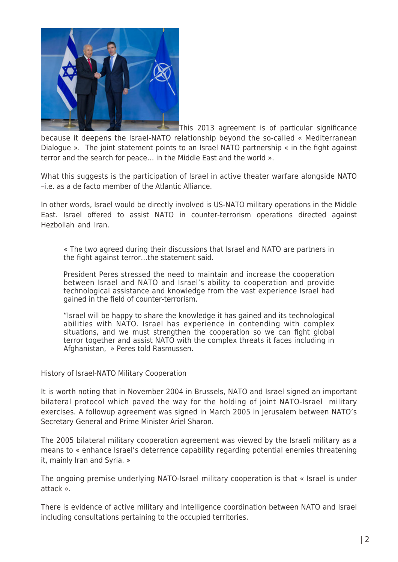

This 2013 agreement is of particular significance because it deepens the Israel-NATO relationship beyond the so-called « Mediterranean Dialogue ». The joint statement points to an Israel NATO partnership « in the fight against terror and the search for peace… in the Middle East and the world ».

What this suggests is the participation of Israel in active theater warfare alongside NATO –i.e. as a de facto member of the Atlantic Alliance.

In other words, Israel would be directly involved is US-NATO military operations in the Middle East. Israel offered to assist NATO in counter-terrorism operations directed against Hezbollah and Iran.

« The two agreed during their discussions that Israel and NATO are partners in the fight against terror…the statement said.

President Peres stressed the need to maintain and increase the cooperation between Israel and NATO and Israel's ability to cooperation and provide technological assistance and knowledge from the vast experience Israel had gained in the field of counter-terrorism.

"Israel will be happy to share the knowledge it has gained and its technological abilities with NATO. Israel has experience in contending with complex situations, and we must strengthen the cooperation so we can fight global terror together and assist NATO with the complex threats it faces including in Afghanistan, » Peres told Rasmussen.

History of Israel-NATO Military Cooperation

It is worth noting that in November 2004 in Brussels, NATO and Israel signed an important bilateral protocol which paved the way for the holding of joint NATO-Israel military exercises. A followup agreement was signed in March 2005 in Jerusalem between NATO's Secretary General and Prime Minister Ariel Sharon.

The 2005 bilateral military cooperation agreement was viewed by the Israeli military as a means to « enhance Israel's deterrence capability regarding potential enemies threatening it, mainly Iran and Syria. »

The ongoing premise underlying NATO-Israel military cooperation is that « Israel is under attack ».

There is evidence of active military and intelligence coordination between NATO and Israel including consultations pertaining to the occupied territories.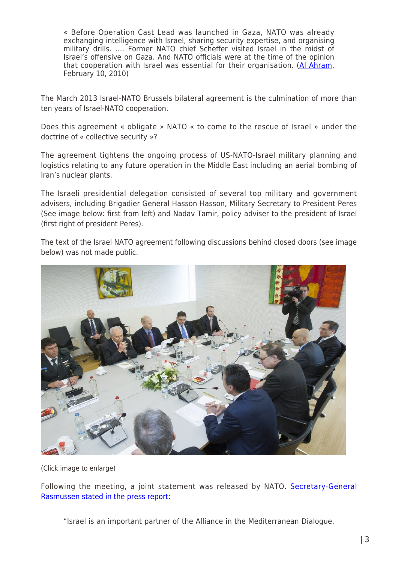« Before Operation Cast Lead was launched in Gaza, NATO was already exchanging intelligence with Israel, sharing security expertise, and organising military drills. …. Former NATO chief Scheffer visited Israel in the midst of Israel's offensive on Gaza. And NATO officials were at the time of the opinion that cooperation with Israel was essential for their organisation. ([Al Ahram](http://www.globalresearch.ca/when-israel-joins-nato/17427), February 10, 2010)

The March 2013 Israel-NATO Brussels bilateral agreement is the culmination of more than ten years of Israel-NATO cooperation.

Does this agreement « obligate » NATO « to come to the rescue of Israel » under the doctrine of « collective security »?

The agreement tightens the ongoing process of US-NATO-Israel military planning and logistics relating to any future operation in the Middle East including an aerial bombing of Iran's nuclear plants.

The Israeli presidential delegation consisted of several top military and government advisers, including Brigadier General Hasson Hasson, Military Secretary to President Peres (See image below: first from left) and Nadav Tamir, policy adviser to the president of Israel (first right of president Peres).

The text of the Israel NATO agreement following discussions behind closed doors (see image below) was not made public.



(Click image to enlarge)

Following the meeting, a joint statement was released by NATO. [Secretary-General](http://www.nato.int/cps/en/SID-19623398-877656EB/natolive/news_98991.htm) [Rasmussen stated in the press report:](http://www.nato.int/cps/en/SID-19623398-877656EB/natolive/news_98991.htm)

"Israel is an important partner of the Alliance in the Mediterranean Dialogue.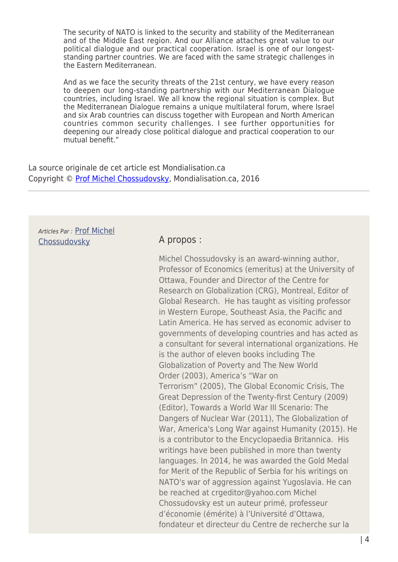The security of NATO is linked to the security and stability of the Mediterranean and of the Middle East region. And our Alliance attaches great value to our political dialogue and our practical cooperation. Israel is one of our longeststanding partner countries. We are faced with the same strategic challenges in the Eastern Mediterranean.

And as we face the security threats of the 21st century, we have every reason to deepen our long-standing partnership with our Mediterranean Dialogue countries, including Israel. We all know the regional situation is complex. But the Mediterranean Dialogue remains a unique multilateral forum, where Israel and six Arab countries can discuss together with European and North American countries common security challenges. I see further opportunities for deepening our already close political dialogue and practical cooperation to our mutual benefit."

La source originale de cet article est Mondialisation.ca Copyright © [Prof Michel Chossudovsky](https://www.mondialisation.ca/author/michel-chossudovsky), Mondialisation.ca, 2016

Articles Par : [Prof Michel](https://www.mondialisation.ca/author/michel-chossudovsky) [Chossudovsky](https://www.mondialisation.ca/author/michel-chossudovsky) **A propos :** 

Michel Chossudovsky is an award-winning author, Professor of Economics (emeritus) at the University of Ottawa, Founder and Director of the Centre for Research on Globalization (CRG), Montreal, Editor of Global Research. He has taught as visiting professor in Western Europe, Southeast Asia, the Pacific and Latin America. He has served as economic adviser to governments of developing countries and has acted as a consultant for several international organizations. He is the author of eleven books including The Globalization of Poverty and The New World Order (2003), America's "War on Terrorism" (2005), The Global Economic Crisis, The Great Depression of the Twenty-first Century (2009) (Editor), Towards a World War III Scenario: The Dangers of Nuclear War (2011), The Globalization of War, America's Long War against Humanity (2015). He is a contributor to the Encyclopaedia Britannica. His writings have been published in more than twenty languages. In 2014, he was awarded the Gold Medal for Merit of the Republic of Serbia for his writings on NATO's war of aggression against Yugoslavia. He can be reached at crgeditor@yahoo.com Michel Chossudovsky est un auteur primé, professeur d'économie (émérite) à l'Université d'Ottawa, fondateur et directeur du Centre de recherche sur la